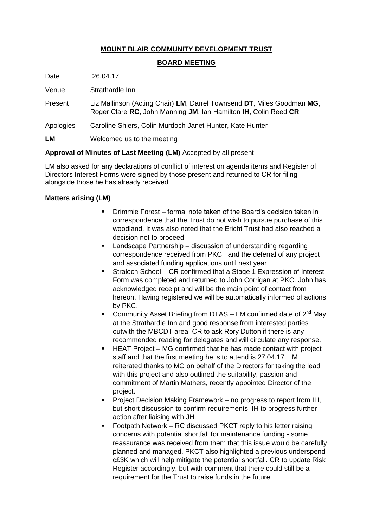# **MOUNT BLAIR COMMUNITY DEVELOPMENT TRUST**

## **BOARD MEETING**

Date 26.04.17

Venue Strathardle Inn

- Present Liz Mallinson (Acting Chair) **LM**, Darrel Townsend **DT**, Miles Goodman **MG**, Roger Clare **RC**, John Manning **JM**, Ian Hamilton **IH,** Colin Reed **CR**
- Apologies Caroline Shiers, Colin Murdoch Janet Hunter, Kate Hunter

**LM** Welcomed us to the meeting

## **Approval of Minutes of Last Meeting (LM)** Accepted by all present

LM also asked for any declarations of conflict of interest on agenda items and Register of Directors Interest Forms were signed by those present and returned to CR for filing alongside those he has already received

## **Matters arising (LM)**

- Drimmie Forest formal note taken of the Board's decision taken in correspondence that the Trust do not wish to pursue purchase of this woodland. It was also noted that the Ericht Trust had also reached a decision not to proceed.
- Landscape Partnership discussion of understanding regarding correspondence received from PKCT and the deferral of any project and associated funding applications until next year
- Straloch School CR confirmed that a Stage 1 Expression of Interest Form was completed and returned to John Corrigan at PKC. John has acknowledged receipt and will be the main point of contact from hereon. Having registered we will be automatically informed of actions by PKC.
- Community Asset Briefing from DTAS LM confirmed date of  $2^{nd}$  May at the Strathardle Inn and good response from interested parties outwith the MBCDT area. CR to ask Rory Dutton if there is any recommended reading for delegates and will circulate any response.
- HEAT Project MG confirmed that he has made contact with project staff and that the first meeting he is to attend is 27.04.17. LM reiterated thanks to MG on behalf of the Directors for taking the lead with this project and also outlined the suitability, passion and commitment of Martin Mathers, recently appointed Director of the project.
- **Project Decision Making Framework no progress to report from IH,** but short discussion to confirm requirements. IH to progress further action after liaising with JH.
- Footpath Network RC discussed PKCT reply to his letter raising concerns with potential shortfall for maintenance funding - some reassurance was received from them that this issue would be carefully planned and managed. PKCT also highlighted a previous underspend c£3K which will help mitigate the potential shortfall. CR to update Risk Register accordingly, but with comment that there could still be a requirement for the Trust to raise funds in the future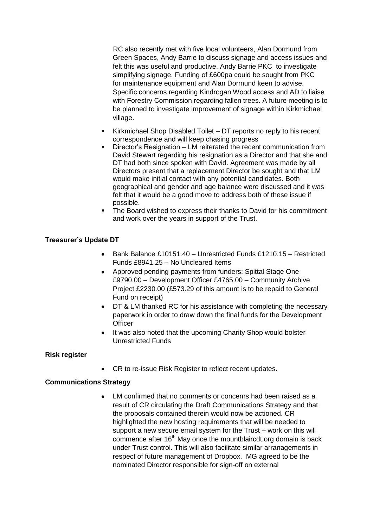RC also recently met with five local volunteers, Alan Dormund from Green Spaces, Andy Barrie to discuss signage and access issues and felt this was useful and productive. Andy Barrie PKC to investigate simplifying signage. Funding of £600pa could be sought from PKC for maintenance equipment and Alan Dormund keen to advise. Specific concerns regarding Kindrogan Wood access and AD to liaise with Forestry Commission regarding fallen trees. A future meeting is to be planned to investigate improvement of signage within Kirkmichael village.

- Kirkmichael Shop Disabled Toilet DT reports no reply to his recent correspondence and will keep chasing progress
- Director's Resignation LM reiterated the recent communication from David Stewart regarding his resignation as a Director and that she and DT had both since spoken with David. Agreement was made by all Directors present that a replacement Director be sought and that LM would make initial contact with any potential candidates. Both geographical and gender and age balance were discussed and it was felt that it would be a good move to address both of these issue if possible.
- The Board wished to express their thanks to David for his commitment and work over the years in support of the Trust.

### **Treasurer's Update DT**

- Bank Balance £10151.40 Unrestricted Funds £1210.15 Restricted Funds £8941.25 – No Uncleared Items
- Approved pending payments from funders: Spittal Stage One £9790.00 – Development Officer £4765.00 – Community Archive Project £2230.00 (£573.29 of this amount is to be repaid to General Fund on receipt)
- DT & LM thanked RC for his assistance with completing the necessary paperwork in order to draw down the final funds for the Development **Officer**
- It was also noted that the upcoming Charity Shop would bolster Unrestricted Funds

### **Risk register**

CR to re-issue Risk Register to reflect recent updates.  $\bullet$ 

### **Communications Strategy**

LM confirmed that no comments or concerns had been raised as a result of CR circulating the Draft Communications Strategy and that the proposals contained therein would now be actioned. CR highlighted the new hosting requirements that will be needed to support a new secure email system for the Trust – work on this will commence after 16<sup>th</sup> May once the mountblaircdt.org domain is back under Trust control. This will also facilitate similar arranagements in respect of future management of Dropbox. MG agreed to be the nominated Director responsible for sign-off on external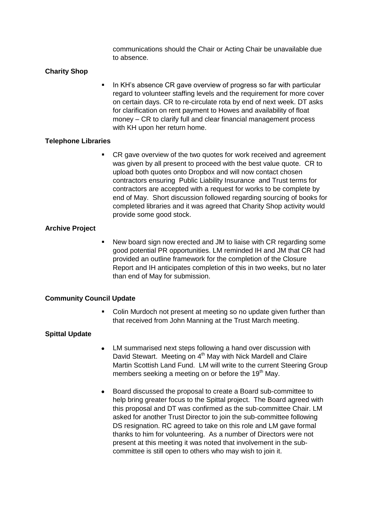communications should the Chair or Acting Chair be unavailable due to absence.

### **Charity Shop**

In KH's absence CR gave overview of progress so far with particular regard to volunteer staffing levels and the requirement for more cover on certain days. CR to re-circulate rota by end of next week. DT asks for clarification on rent payment to Howes and availability of float money – CR to clarify full and clear financial management process with KH upon her return home.

#### **Telephone Libraries**

 CR gave overview of the two quotes for work received and agreement was given by all present to proceed with the best value quote. CR to upload both quotes onto Dropbox and will now contact chosen contractors ensuring Public Liability Insurance and Trust terms for contractors are accepted with a request for works to be complete by end of May. Short discussion followed regarding sourcing of books for completed libraries and it was agreed that Charity Shop activity would provide some good stock.

### **Archive Project**

 New board sign now erected and JM to liaise with CR regarding some good potential PR opportunities. LM reminded IH and JM that CR had provided an outline framework for the completion of the Closure Report and IH anticipates completion of this in two weeks, but no later than end of May for submission.

#### **Community Council Update**

• Colin Murdoch not present at meeting so no update given further than that received from John Manning at the Trust March meeting.

### **Spittal Update**

- $\bullet$ LM summarised next steps following a hand over discussion with David Stewart. Meeting on 4<sup>th</sup> May with Nick Mardell and Claire Martin Scottish Land Fund. LM will write to the current Steering Group members seeking a meeting on or before the 19<sup>th</sup> May.
- Board discussed the proposal to create a Board sub-committee to  $\bullet$ help bring greater focus to the Spittal project. The Board agreed with this proposal and DT was confirmed as the sub-committee Chair. LM asked for another Trust Director to join the sub-committee following DS resignation. RC agreed to take on this role and LM gave formal thanks to him for volunteering. As a number of Directors were not present at this meeting it was noted that involvement in the subcommittee is still open to others who may wish to join it.